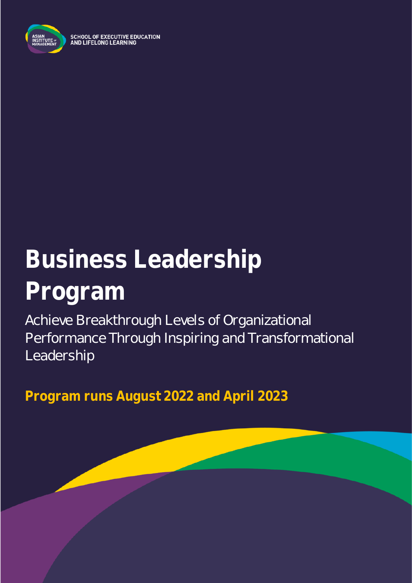

SCHOOL OF EXECUTIVE EDUCATION<br>AND LIFELONG LEARNING

# **Business Leadership Program**

Achieve Breakthrough Levels of Organizational Performance Through Inspiring and Transformational Leadership

**Program runs August 2022 and April 2023**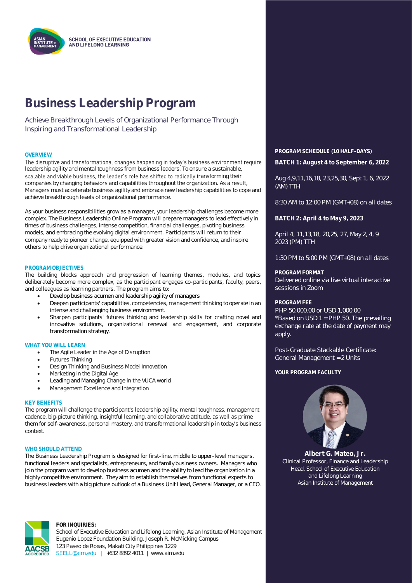

### **Business Leadership Program**

Achieve Breakthrough Levels of Organizational Performance Through Inspiring and Transformational Leadership

The disruptive and transformational changes happening in today's business environment require leadership agility and mental toughness from business leaders. To ensure a sustainable, scalable and viable business, the leader's role has shifted to radically transforming their companies by changing behaviors and capabilities throughout the organization. As a result, Managers must accelerate business agility and embrace new leadership capabilities to cope and achieve breakthrough levels of organizational performance.

As your business responsibilities grow as a manager, your leadership challenges become more complex. The Business Leadership Online Program will prepare managers to lead effectively in times of business challenges, intense competition, financial challenges, pivoting business models, and embracing the evolving digital environment. Participants will return to their company ready to pioneer change, equipped with greater vision and confidence, and inspire others to help drive organizational performance.

#### **PROGRAM OBJECTIVES**

The building blocks approach and progression of learning themes, modules, and topics deliberately become more complex, as the participant engages co-participants, faculty, peers, and colleagues as learning partners. The program aims to:

- Develop business acumen and leadership agility of managers
- Deepen participants' capabilities, competencies, management thinking to operate in an intense and challenging business environment.
- Sharpen participants' futures thinking and leadership skills for crafting novel and innovative solutions, organizational renewal and engagement, and corporate transformation strategy.

#### **WHAT YOU WILL LEARN**

- The Agile Leader in the Age of Disruption
- Futures Thinking
- Design Thinking and Business Model Innovation
- Marketing in the Digital Age
- Leading and Managing Change in the VUCA world
- Management Excellence and Integration

#### **KEY BENEFITS**

The program will challenge the participant's leadership agility, mental toughness, management cadence, big-picture thinking, insightful learning, and collaborative attitude, as well as prime them for self-awareness, personal mastery, and transformational leadership in today's business context.

#### **WHO SHOULD ATTEND**

The Business Leadership Program is designed for first-line, middle to upper-level managers, functional leaders and specialists, entrepreneurs, and family business owners. Managers who join the program want to develop business acumen and the ability to lead the organization in a highly competitive environment. They aim to establish themselves from functional experts to business leaders with a big picture outlook of a Business Unit Head, General Manager, or a CEO.



#### **FOR INQUIRIES:**

School of Executive Education and Lifelong Learning, Asian Institute of Management Eugenio Lopez Foundation Building, Joseph R. McMicking Campus 123 Paseo de Roxas, Makati City Philippines 1229 [SEELL@aim.edu](mailto:SEELL@aim.edu) | +632 8892 4011 | www.aim.edu

**OVERVIEW PROGRAM SCHEDULE (10 HALF-DAYS) BATCH 1: August 4 to September 6, 2022**

> Aug 4,9,11,16,18, 23,25,30, Sept 1, 6, 2022 (AM) TTH

8:30 AM to 12:00 PM (GMT+08) on all dates

**BATCH 2: April 4 to May 9, 2023**

April 4, 11,13,18, 20,25, 27, May 2, 4, 9 2023 (PM) TTH

1:30 PM to 5:00 PM (GMT+08) on all dates

#### **PROGRAM FORMAT**

Delivered online via live virtual interactive sessions in Zoom

#### **PROGRAM FEE**

PHP 50,000.00 or USD 1,000.00 \*Based on USD 1 = PHP 50. The prevailing exchange rate at the date of payment may apply.

Post-Graduate Stackable Certificate: General Management = 2 Units

#### YOUR PROGRAM FACULTY



**Albert G. Mateo, Jr.** Clinical Professor, Finance and Leadership Head, School of Executive Education and Lifelong Learning Asian Institute of Management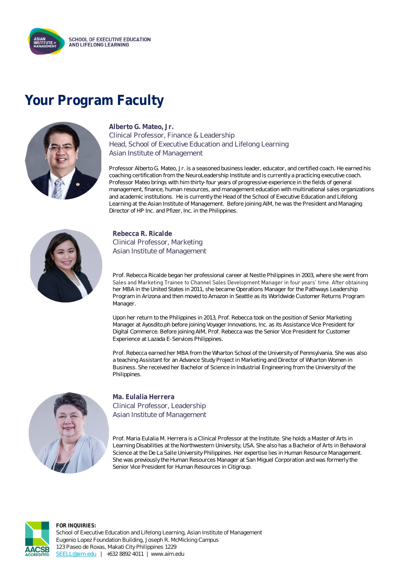

## **Your Program Faculty**



**Alberto G. Mateo, Jr.** Clinical Professor, Finance & Leadership Head, School of Executive Education and Lifelong Learning Asian Institute of Management

Professor Alberto G. Mateo, Jr. is a seasoned business leader, educator, and certified coach. He earned his coaching certification from the NeuroLeadership Institute and is currently a practicing executive coach. Professor Mateo brings with him thirty-four years of progressive experience in the fields of general management, finance, human resources, and management education with multinational sales organizations and academic institutions. He is currently the Head of the School of Executive Education and Lifelong Learning at the Asian Institute of Management. Before joining AIM, he was the President and Managing Director of HP Inc. and Pfizer, Inc. in the Philippines.



**Rebecca R. Ricalde** Clinical Professor, Marketing Asian Institute of Management

Prof. Rebecca Ricalde began her professional career at Nestle Philippines in 2003, where she went from Sales and Marketing Trainee to Channel Sales Development Manager in four years' time. After obtaining her MBA in the United States in 2011, she became Operations Manager for the Pathways Leadership Program in Arizona and then moved to Amazon in Seattle as its Worldwide Customer Returns Program Manager.

Upon her return to the Philippines in 2013, Prof. Rebecca took on the position of Senior Marketing Manager at Ayosdito.ph before joining Voyager Innovations, Inc. as its Assistance Vice President for Digital Commerce. Before joining AIM, Prof. Rebecca was the Senior Vice President for Customer Experience at Lazada E-Services Philippines.

Prof. Rebecca earned her MBA from the Wharton School of the University of Pennsylvania. She was also a teaching Assistant for an Advance Study Project in Marketing and Director of Wharton Women in Business. She received her Bachelor of Science in Industrial Engineering from the University of the Philippines.



**Ma. Eulalia Herrera** Clinical Professor, Leadership Asian Institute of Management

Prof. Maria Eulalia M. Herrera is a Clinical Professor at the Institute. She holds a Master of Arts in Learning Disabilities at the Northwestern University, USA. She also has a Bachelor of Arts in Behavioral Science at the De La Salle University Philippines. Her expertise lies in Human Resource Management. She was previously the Human Resources Manager at San Miguel Corporation and was formerly the Senior Vice President for Human Resources in Citigroup.



**FOR INQUIRIES:** School of Executive Education and Lifelong Learning, Asian Institute of Management Eugenio Lopez Foundation Building, Joseph R. McMicking Campus 123 Paseo de Roxas, Makati City Philippines 1229 [SEELL@aim.edu](mailto:SEELL@aim.edu) | +632 8892 4011 | www.aim.edu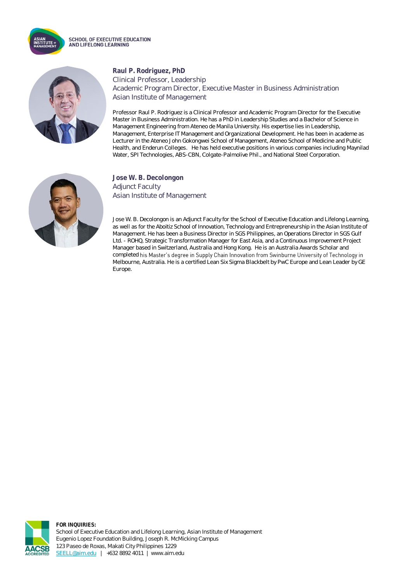



#### **Raul P. Rodriguez, PhD** Clinical Professor, Leadership Academic Program Director, Executive Master in Business Administration Asian Institute of Management

Professor Raul P. Rodriguez is a Clinical Professor and Academic Program Director for the Executive Master in Business Administration. He has a PhD in Leadership Studies and a Bachelor of Science in Management Engineering from Ateneo de Manila University. His expertise lies in Leadership, Management, Enterprise IT Management and Organizational Development. He has been in academe as Lecturer in the Ateneo John Gokongwei School of Management, Ateneo School of Medicine and Public Health, and Enderun Colleges. He has held executive positions in various companies including Maynilad Water, SPI Technologies, ABS-CBN, Colgate-Palmolive Phil., and National Steel Corporation.



### **Jose W. B. Decolongon** Adjunct Faculty Asian Institute of Management

Jose W. B. Decolongon is an Adjunct Faculty for the School of Executive Education and Lifelong Learning, as well as for the Aboitiz School of Innovation, Technology and Entrepreneurship in the Asian Institute of Management. He has been a Business Director in SGS Philippines, an Operations Director in SGS Gulf Ltd. - ROHQ, Strategic Transformation Manager for East Asia, and a Continuous Improvement Project Manager based in Switzerland, Australia and Hong Kong. He is an Australia Awards Scholar and completed his Master's degree in Supply Chain Innovation from Swinburne University of Technology in Melbourne, Australia. He is a certified Lean Six Sigma Blackbelt by PwC Europe and Lean Leader by GE Europe.